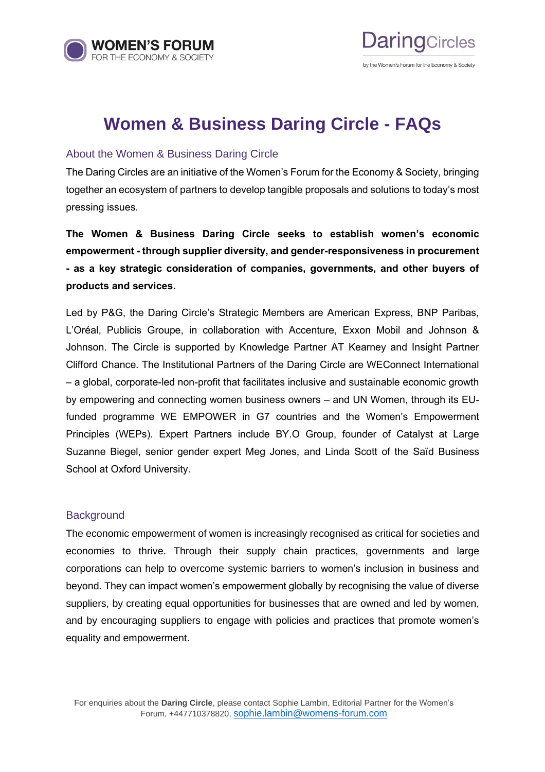



## **Women & Business Daring Circle - FAQs**

### About the Women & Business Daring Circle

The Daring Circles are an initiative of the Women's Forum for the Economy & Society, bringing together an ecosystem of partners to develop tangible proposals and solutions to today's most pressing issues.

**The Women & Business Daring Circle seeks to establish women's economic empowerment - through supplier diversity, and gender-responsiveness in procurement - as a key strategic consideration of companies, governments, and other buyers of products and services.**

Led by P&G, the Daring Circle's Strategic Members are American Express, BNP Paribas, L'Oréal, Publicis Groupe, in collaboration with Accenture, Exxon Mobil and Johnson & Johnson. The Circle is supported by Knowledge Partner AT Kearney and Insight Partner Clifford Chance. The Institutional Partners of the Daring Circle are WEConnect International – a global, corporate-led non-profit that facilitates inclusive and sustainable economic growth by empowering and connecting women business owners – and UN Women, through its EUfunded programme WE EMPOWER in G7 countries and the Women's Empowerment Principles (WEPs). Expert Partners include BY.O Group, founder of Catalyst at Large Suzanne Biegel, senior gender expert Meg Jones, and Linda Scott of the Saïd Business School at Oxford University.

### **Background**

The economic empowerment of women is increasingly recognised as critical for societies and economies to thrive. Through their supply chain practices, governments and large corporations can help to overcome systemic barriers to women's inclusion in business and beyond. They can impact women's empowerment globally by recognising the value of diverse suppliers, by creating equal opportunities for businesses that are owned and led by women, and by encouraging suppliers to engage with policies and practices that promote women's equality and empowerment.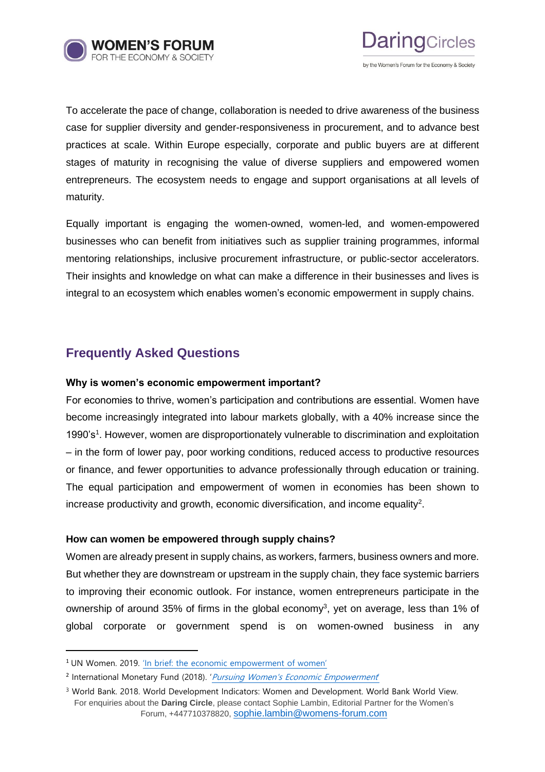



To accelerate the pace of change, collaboration is needed to drive awareness of the business

case for supplier diversity and gender-responsiveness in procurement, and to advance best practices at scale. Within Europe especially, corporate and public buyers are at different stages of maturity in recognising the value of diverse suppliers and empowered women entrepreneurs. The ecosystem needs to engage and support organisations at all levels of maturity.

Equally important is engaging the women-owned, women-led, and women-empowered businesses who can benefit from initiatives such as supplier training programmes, informal mentoring relationships, inclusive procurement infrastructure, or public-sector accelerators. Their insights and knowledge on what can make a difference in their businesses and lives is integral to an ecosystem which enables women's economic empowerment in supply chains.

## **Frequently Asked Questions**

### **Why is women's economic empowerment important?**

For economies to thrive, women's participation and contributions are essential. Women have become increasingly integrated into labour markets globally, with a 40% increase since the 1990's<sup>1</sup>. However, women are disproportionately vulnerable to discrimination and exploitation – in the form of lower pay, poor working conditions, reduced access to productive resources or finance, and fewer opportunities to advance professionally through education or training. The equal participation and empowerment of women in economies has been shown to increase productivity and growth, economic diversification, and income equality<sup>2</sup>.

### **How can women be empowered through supply chains?**

Women are already present in supply chains, as workers, farmers, business owners and more. But whether they are downstream or upstream in the supply chain, they face systemic barriers to improving their economic outlook. For instance, women entrepreneurs participate in the ownership of around 35% of firms in the global economy<sup>3</sup>, yet on average, less than 1% of global corporate or government spend is on women-owned business in any

<sup>1</sup> UN Women. 2019. ['In brief: the economic empowerment of women'](ttps://www.unwomen.org/-/media/headquarters/attachments/sections/library/publications/2013/12/un%20women_ee-thematic-brief_us-web%20pdf.pdf?la=en)

<sup>&</sup>lt;sup>2</sup> International Monetary Fund (2018). ' [Pursuing Women's Economic Empowerment](https://www.imf.org/en/Publications/Policy-Papers/Issues/2018/05/31/pp053118pursuing-womens-economic-empowerment)

For enquiries about the **Daring Circle**, please contact Sophie Lambin, Editorial Partner for the Women's Forum, +447710378820, [sophie.lambin@womens-forum.com](mailto:sophie.lambin@womens-forum.com) <sup>3</sup> World Bank. 2018. World Development Indicators: Women and Development. World Bank World View.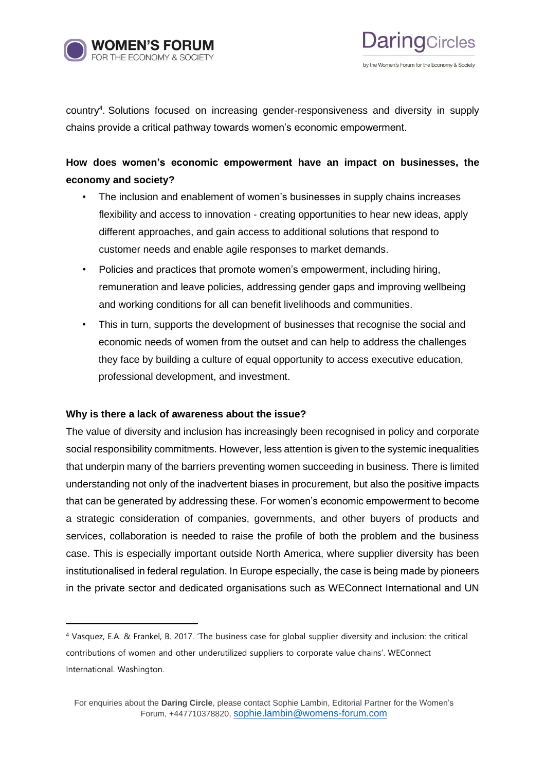



country<sup>4</sup>. Solutions focused on increasing gender-responsiveness and diversity in supply chains provide a critical pathway towards women's economic empowerment.

## **How does women's economic empowerment have an impact on businesses, the economy and society?**

- The inclusion and enablement of women's businesses in supply chains increases flexibility and access to innovation - creating opportunities to hear new ideas, apply different approaches, and gain access to additional solutions that respond to customer needs and enable agile responses to market demands.
- Policies and practices that promote women's empowerment, including hiring, remuneration and leave policies, addressing gender gaps and improving wellbeing and working conditions for all can benefit livelihoods and communities.
- This in turn, supports the development of businesses that recognise the social and economic needs of women from the outset and can help to address the challenges they face by building a culture of equal opportunity to access executive education, professional development, and investment.

### **Why is there a lack of awareness about the issue?**

The value of diversity and inclusion has increasingly been recognised in policy and corporate social responsibility commitments. However, less attention is given to the systemic inequalities that underpin many of the barriers preventing women succeeding in business. There is limited understanding not only of the inadvertent biases in procurement, but also the positive impacts that can be generated by addressing these. For women's economic empowerment to become a strategic consideration of companies, governments, and other buyers of products and services, collaboration is needed to raise the profile of both the problem and the business case. This is especially important outside North America, where supplier diversity has been institutionalised in federal regulation. In Europe especially, the case is being made by pioneers in the private sector and dedicated organisations such as WEConnect International and UN

<sup>4</sup> Vasquez, E.A. & Frankel, B. 2017. 'The business case for global supplier diversity and inclusion: the critical contributions of women and other underutilized suppliers to corporate value chains'. WEConnect International. Washington.

For enquiries about the **Daring Circle**, please contact Sophie Lambin, Editorial Partner for the Women's Forum, +447710378820, [sophie.lambin@womens-forum.com](mailto:sophie.lambin@womens-forum.com)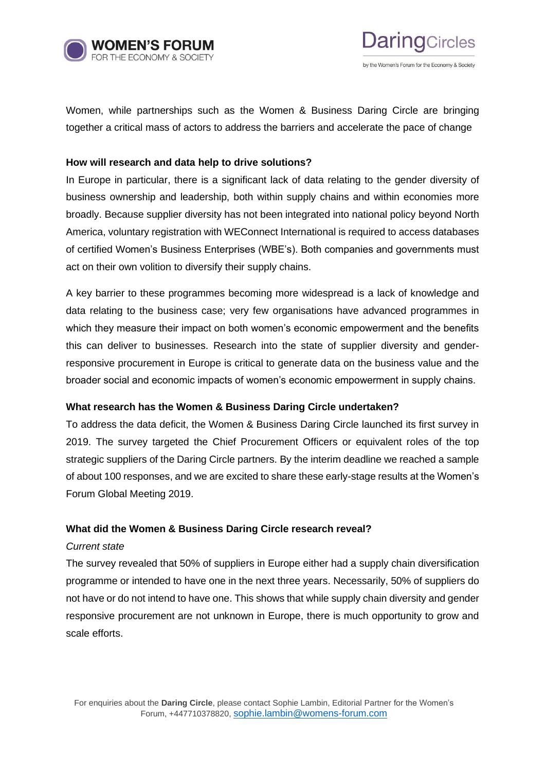

Women, while partnerships such as the Women & Business Daring Circle are bringing together a critical mass of actors to address the barriers and accelerate the pace of change

**Daring**Circles

by the Women's Forum for the Economy & Society

### **How will research and data help to drive solutions?**

In Europe in particular, there is a significant lack of data relating to the gender diversity of business ownership and leadership, both within supply chains and within economies more broadly. Because supplier diversity has not been integrated into national policy beyond North America, voluntary registration with WEConnect International is required to access databases of certified Women's Business Enterprises (WBE's). Both companies and governments must act on their own volition to diversify their supply chains.

A key barrier to these programmes becoming more widespread is a lack of knowledge and data relating to the business case; very few organisations have advanced programmes in which they measure their impact on both women's economic empowerment and the benefits this can deliver to businesses. Research into the state of supplier diversity and genderresponsive procurement in Europe is critical to generate data on the business value and the broader social and economic impacts of women's economic empowerment in supply chains.

### **What research has the Women & Business Daring Circle undertaken?**

To address the data deficit, the Women & Business Daring Circle launched its first survey in 2019. The survey targeted the Chief Procurement Officers or equivalent roles of the top strategic suppliers of the Daring Circle partners. By the interim deadline we reached a sample of about 100 responses, and we are excited to share these early-stage results at the Women's Forum Global Meeting 2019.

### **What did the Women & Business Daring Circle research reveal?**

### *Current state*

The survey revealed that 50% of suppliers in Europe either had a supply chain diversification programme or intended to have one in the next three years. Necessarily, 50% of suppliers do not have or do not intend to have one. This shows that while supply chain diversity and gender responsive procurement are not unknown in Europe, there is much opportunity to grow and scale efforts.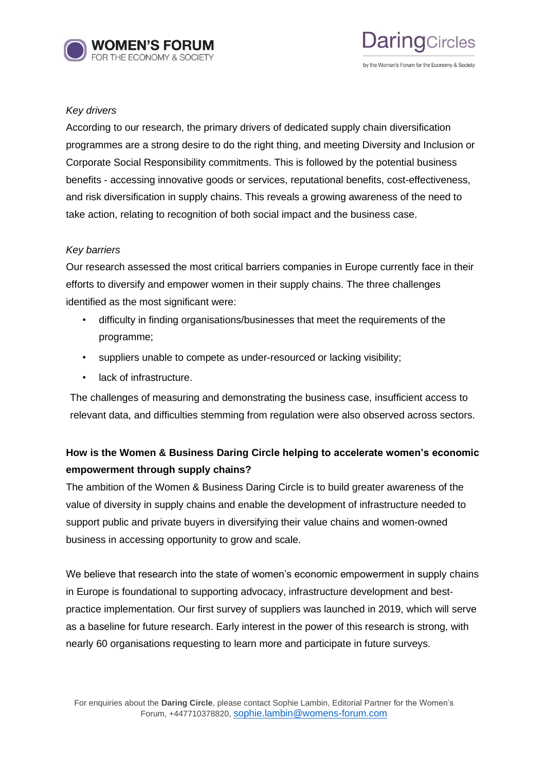



### *Key drivers*

According to our research, the primary drivers of dedicated supply chain diversification programmes are a strong desire to do the right thing, and meeting Diversity and Inclusion or Corporate Social Responsibility commitments. This is followed by the potential business benefits - accessing innovative goods or services, reputational benefits, cost-effectiveness, and risk diversification in supply chains. This reveals a growing awareness of the need to take action, relating to recognition of both social impact and the business case.

### *Key barriers*

Our research assessed the most critical barriers companies in Europe currently face in their efforts to diversify and empower women in their supply chains. The three challenges identified as the most significant were:

- difficulty in finding organisations/businesses that meet the requirements of the programme;
- suppliers unable to compete as under-resourced or lacking visibility;
- lack of infrastructure.

The challenges of measuring and demonstrating the business case, insufficient access to relevant data, and difficulties stemming from regulation were also observed across sectors.

## **How is the Women & Business Daring Circle helping to accelerate women's economic empowerment through supply chains?**

The ambition of the Women & Business Daring Circle is to build greater awareness of the value of diversity in supply chains and enable the development of infrastructure needed to support public and private buyers in diversifying their value chains and women-owned business in accessing opportunity to grow and scale.

We believe that research into the state of women's economic empowerment in supply chains in Europe is foundational to supporting advocacy, infrastructure development and bestpractice implementation. Our first survey of suppliers was launched in 2019, which will serve as a baseline for future research. Early interest in the power of this research is strong, with nearly 60 organisations requesting to learn more and participate in future surveys.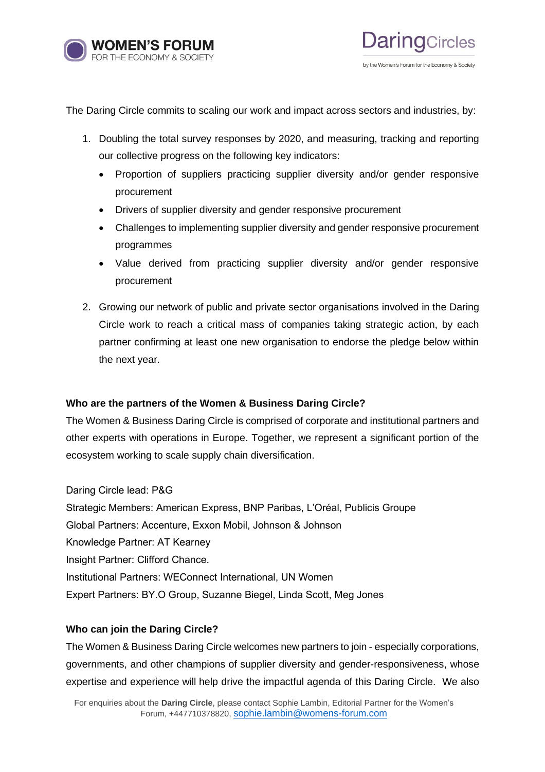

The Daring Circle commits to scaling our work and impact across sectors and industries, by:

- 1. Doubling the total survey responses by 2020, and measuring, tracking and reporting our collective progress on the following key indicators:
	- Proportion of suppliers practicing supplier diversity and/or gender responsive procurement
	- Drivers of supplier diversity and gender responsive procurement
	- Challenges to implementing supplier diversity and gender responsive procurement programmes
	- Value derived from practicing supplier diversity and/or gender responsive procurement
- 2. Growing our network of public and private sector organisations involved in the Daring Circle work to reach a critical mass of companies taking strategic action, by each partner confirming at least one new organisation to endorse the pledge below within the next year.

### **Who are the partners of the Women & Business Daring Circle?**

The Women & Business Daring Circle is comprised of corporate and institutional partners and other experts with operations in Europe. Together, we represent a significant portion of the ecosystem working to scale supply chain diversification.

### Daring Circle lead: P&G

Strategic Members: American Express, BNP Paribas, L'Oréal, Publicis Groupe Global Partners: Accenture, Exxon Mobil, Johnson & Johnson Knowledge Partner: AT Kearney Insight Partner: Clifford Chance. Institutional Partners: WEConnect International, UN Women Expert Partners: BY.O Group, Suzanne Biegel, Linda Scott, Meg Jones

### **Who can join the Daring Circle?**

The Women & Business Daring Circle welcomes new partners to join - especially corporations, governments, and other champions of supplier diversity and gender-responsiveness, whose expertise and experience will help drive the impactful agenda of this Daring Circle. We also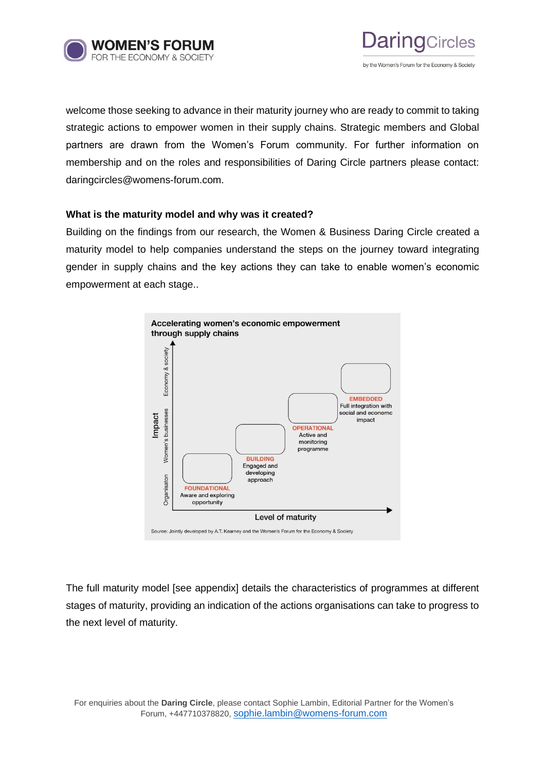



welcome those seeking to advance in their maturity journey who are ready to commit to taking strategic actions to empower women in their supply chains. Strategic members and Global partners are drawn from the Women's Forum community. For further information on membership and on the roles and responsibilities of Daring Circle partners please contact: daringcircles@womens-forum.com.

### **What is the maturity model and why was it created?**

Building on the findings from our research, the Women & Business Daring Circle created a maturity model to help companies understand the steps on the journey toward integrating gender in supply chains and the key actions they can take to enable women's economic empowerment at each stage..



The full maturity model [see appendix] details the characteristics of programmes at different stages of maturity, providing an indication of the actions organisations can take to progress to the next level of maturity.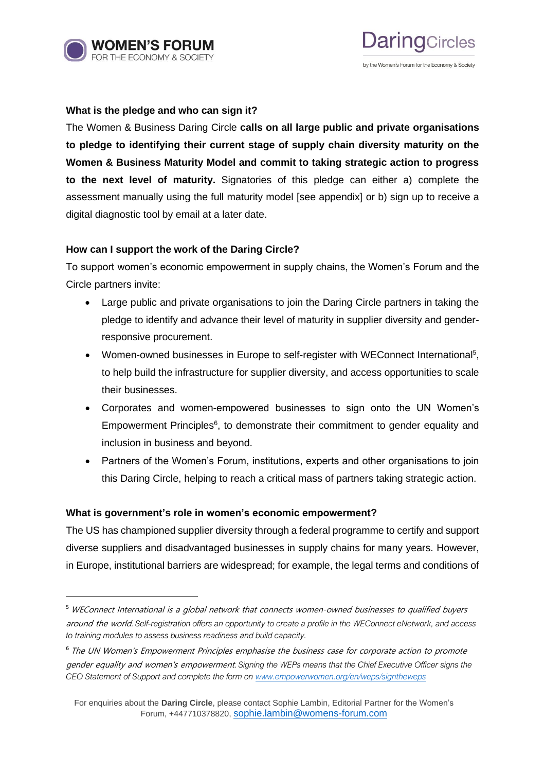

# **Jaring**Circles by the Women's Forum for the Economy & Society

### **What is the pledge and who can sign it?**

The Women & Business Daring Circle **calls on all large public and private organisations to pledge to identifying their current stage of supply chain diversity maturity on the Women & Business Maturity Model and commit to taking strategic action to progress to the next level of maturity.** Signatories of this pledge can either a) complete the assessment manually using the full maturity model [see appendix] or b) sign up to receive a digital diagnostic tool by email at a later date.

### **How can I support the work of the Daring Circle?**

To support women's economic empowerment in supply chains, the Women's Forum and the Circle partners invite:

- Large public and private organisations to join the Daring Circle partners in taking the pledge to identify and advance their level of maturity in supplier diversity and genderresponsive procurement.
- Women-owned businesses in Europe to self-register with WEConnect International<sup>5</sup>, to help build the infrastructure for supplier diversity, and access opportunities to scale their businesses.
- Corporates and women-empowered businesses to sign onto the UN Women's Empowerment Principles<sup>6</sup>, to demonstrate their commitment to gender equality and inclusion in business and beyond.
- Partners of the Women's Forum, institutions, experts and other organisations to join this Daring Circle, helping to reach a critical mass of partners taking strategic action.

### **What is government's role in women's economic empowerment?**

The US has championed supplier diversity through a federal programme to certify and support diverse suppliers and disadvantaged businesses in supply chains for many years. However, in Europe, institutional barriers are widespread; for example, the legal terms and conditions of

<sup>&</sup>lt;sup>5</sup> WEConnect International is a global network that connects women-owned businesses to qualified buyers around the world. *Self-registration offers an opportunity to create a profile in the WEConnect eNetwork, and access to training modules to assess business readiness and build capacity.*

<sup>&</sup>lt;sup>6</sup> The UN Women's Empowerment Principles emphasise the business case for corporate action to promote gender equality and women's empowerment. *Signing the WEPs means that the Chief Executive Officer signs the CEO Statement of Support and complete the form on [www.empowerwomen.org/en/weps/signtheweps](http://www.empowerwomen.org/en/weps/signtheweps)*

For enquiries about the **Daring Circle**, please contact Sophie Lambin, Editorial Partner for the Women's Forum, +447710378820, [sophie.lambin@womens-forum.com](mailto:sophie.lambin@womens-forum.com)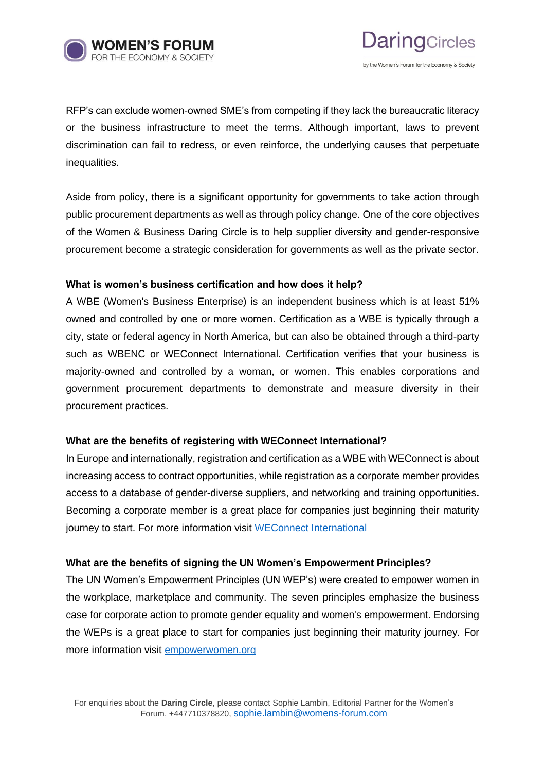



RFP's can exclude women-owned SME's from competing if they lack the bureaucratic literacy or the business infrastructure to meet the terms. Although important, laws to prevent discrimination can fail to redress, or even reinforce, the underlying causes that perpetuate inequalities.

Aside from policy, there is a significant opportunity for governments to take action through public procurement departments as well as through policy change. One of the core objectives of the Women & Business Daring Circle is to help supplier diversity and gender-responsive procurement become a strategic consideration for governments as well as the private sector.

### **What is women's business certification and how does it help?**

A WBE (Women's Business Enterprise) is an independent business which is at least 51% owned and controlled by one or more women. Certification as a WBE is typically through a city, state or federal agency in North America, but can also be obtained through a third-party such as WBENC or WEConnect International. Certification verifies that your business is majority-owned and controlled by a woman, or women. This enables corporations and government procurement departments to demonstrate and measure diversity in their procurement practices.

### **What are the benefits of registering with WEConnect International?**

In Europe and internationally, registration and certification as a WBE with WEConnect is about increasing access to contract opportunities, while registration as a corporate member provides access to a database of gender-diverse suppliers, and networking and training opportunities**.** Becoming a corporate member is a great place for companies just beginning their maturity journey to start. For more information visit [WEConnect International](https://weconnecteurope.org/benefits-women-business-owners)

### **What are the benefits of signing the UN Women's Empowerment Principles?**

The UN Women's Empowerment Principles (UN WEP's) were created to empower women in the workplace, marketplace and community. The seven principles emphasize the business case for corporate action to promote gender equality and women's empowerment. Endorsing the WEPs is a great place to start for companies just beginning their maturity journey. For more information visit [empowerwomen.org](https://www.empowerwomen.org/en/weps/about)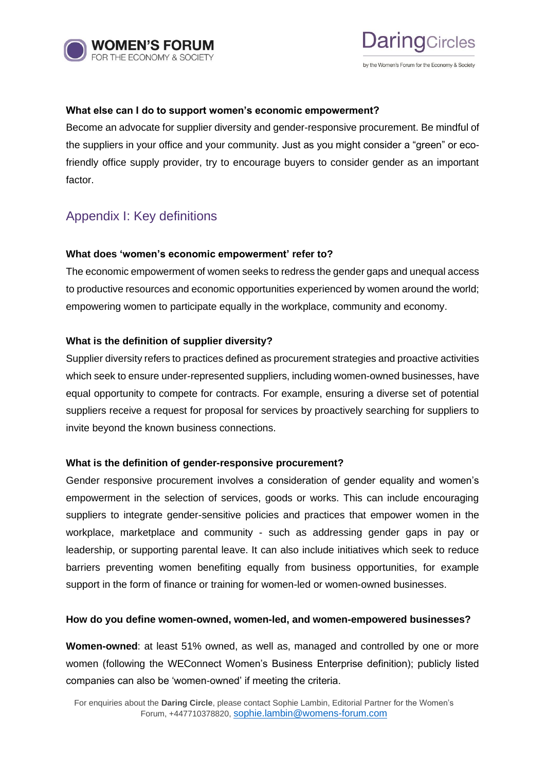



### **What else can I do to support women's economic empowerment?**

Become an advocate for supplier diversity and gender-responsive procurement. Be mindful of the suppliers in your office and your community. Just as you might consider a "green" or ecofriendly office supply provider, try to encourage buyers to consider gender as an important factor.

### Appendix I: Key definitions

### **What does 'women's economic empowerment' refer to?**

The economic empowerment of women seeks to redress the gender gaps and unequal access to productive resources and economic opportunities experienced by women around the world; empowering women to participate equally in the workplace, community and economy.

### **What is the definition of supplier diversity?**

Supplier diversity refers to practices defined as procurement strategies and proactive activities which seek to ensure under-represented suppliers, including women-owned businesses, have equal opportunity to compete for contracts. For example, ensuring a diverse set of potential suppliers receive a request for proposal for services by proactively searching for suppliers to invite beyond the known business connections.

### **What is the definition of gender-responsive procurement?**

Gender responsive procurement involves a consideration of gender equality and women's empowerment in the selection of services, goods or works. This can include encouraging suppliers to integrate gender-sensitive policies and practices that empower women in the workplace, marketplace and community - such as addressing gender gaps in pay or leadership, or supporting parental leave. It can also include initiatives which seek to reduce barriers preventing women benefiting equally from business opportunities, for example support in the form of finance or training for women-led or women-owned businesses.

### **How do you define women-owned, women-led, and women-empowered businesses?**

**Women-owned**: at least 51% owned, as well as, managed and controlled by one or more women (following the WEConnect Women's Business Enterprise definition); publicly listed companies can also be 'women-owned' if meeting the criteria.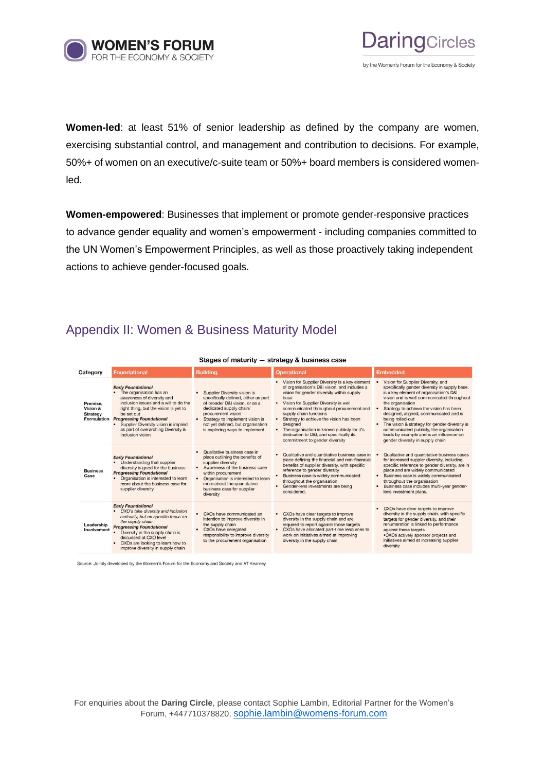



**Women-led**: at least 51% of senior leadership as defined by the company are women, exercising substantial control, and management and contribution to decisions. For example, 50%+ of women on an executive/c-suite team or 50%+ board members is considered womenled.

**Women-empowered**: Businesses that implement or promote gender-responsive practices to advance gender equality and women's empowerment - including companies committed to the UN Women's Empowerment Principles, as well as those proactively taking independent actions to achieve gender-focused goals.

## Appendix II: Women & Business Maturity Model

| Stages of maturity - strategy & business case          |                                                                                                                                                                                                                                                                                                                         |                                                                                                                                                                                                                                                                                |                                                                                                                                                                                                                                                                                                                                                                                                                                                      |                                                                                                                                                                                                                                                                                                                                                                                                                                                                                      |  |  |  |  |
|--------------------------------------------------------|-------------------------------------------------------------------------------------------------------------------------------------------------------------------------------------------------------------------------------------------------------------------------------------------------------------------------|--------------------------------------------------------------------------------------------------------------------------------------------------------------------------------------------------------------------------------------------------------------------------------|------------------------------------------------------------------------------------------------------------------------------------------------------------------------------------------------------------------------------------------------------------------------------------------------------------------------------------------------------------------------------------------------------------------------------------------------------|--------------------------------------------------------------------------------------------------------------------------------------------------------------------------------------------------------------------------------------------------------------------------------------------------------------------------------------------------------------------------------------------------------------------------------------------------------------------------------------|--|--|--|--|
| Category                                               | <b>Foundational</b>                                                                                                                                                                                                                                                                                                     | <b>Building</b>                                                                                                                                                                                                                                                                | <b>Operational</b>                                                                                                                                                                                                                                                                                                                                                                                                                                   | Embedded                                                                                                                                                                                                                                                                                                                                                                                                                                                                             |  |  |  |  |
| Premise.<br>Vision &<br><b>Strategy</b><br>Formulation | <b>Early Foundational</b><br>The organisation has an<br>awareness of diversity and<br>inclusion issues and a will to do the<br>right thing, but the vision is yet to<br>be set out<br><b>Progressing Foundational</b><br>Supplier Diversity vision is implied<br>as part of overarching Diversity &<br>Inclusion vision | Supplier Diversity vision is<br>specifically defined, either as part<br>of broader D&I vision, or as a<br>dedicated supply chain/<br>procurement vision<br>Strategy to implement vision is<br>$\bullet$<br>not yet defined, but organisation<br>is exploring ways to implement | Vision for Supplier Diversity is a key element<br>of organisation's D&I vision, and includes a<br>vision for gender diversity within supply<br>base<br>Vision for Supplier Diversity is well<br>communicated throughout procurement and<br>supply chain functions<br>Strategy to achieve the vision has been<br>designed<br>The organisation is known publicly for it's<br>dedication to D&I, and specifically its<br>commitment to gender diversity | Vision for Supplier Diversity, and<br>specifically gender diversity in supply base,<br>is a key element of organisation's D&I<br>vision and is well communicated throughout<br>the organisation<br>Strategy to achieve the vision has been<br>designed, aligned, communicated and is<br>being rolled-out<br>The vision & strategy for gender diversity is<br>communicated publicly, the organisation<br>leads by example and is an influencer on<br>gender diversity in supply chain |  |  |  |  |
| <b>Business</b><br>Case                                | <b>Early Foundational</b><br>Understanding that supplier<br>diversity is good for the business<br><b>Progressing Foundational</b><br>Organisation is interested to learn<br>more about the business case for<br>supplier diversity                                                                                      | Qualitative business case in<br>place outlining the benefits of<br>supplier diversity<br>Awareness of the business case<br>$\bullet$<br>within procurement<br>Organisation is interested to learn<br>more about the quantitative<br>business case for supplier<br>diversity    | Qualitative and quantitative business case in<br>place defining the financial and non-financial<br>benefits of supplier diversity, with specific<br>reference to gender diversity<br>Business case is widely communicated<br>throughout the organisation<br>Gender-lens investments are being<br>considered.                                                                                                                                         | Qualitative and quantitative business cases<br>for increased suppler diversity, including<br>specific reference to gender diversity, are in<br>place and are widely communicated<br>Business case is widely communicated<br>٠<br>throughout the organisation<br>Business case includes multi-year gender-<br>lens investment plans.                                                                                                                                                  |  |  |  |  |
| Leadership<br>Involvement                              | <b>Early Foundational</b><br>CXO's take diversity and inclusion<br>seriously, but no specific focus on<br>the supply chain<br><b>Progressing Foundational</b><br>Diversity in the supply chain is<br>discussed at CXO level<br>CXOs are looking to learn how to<br>improve diversity in supply chain                    | CXOs have communicated an<br>intention to improve diversity in<br>the supply chain<br>CXOs have delegated<br>responsibility to improve diversity<br>to the procurement organisation                                                                                            | CXOs have clear targets to improve<br>diversity in the supply chain and are<br>required to report against those targets<br>CXOs have allocated part-time resources to<br>work on initiatives aimed at improving<br>diversity in the supply chain                                                                                                                                                                                                     | CXOs have clear targets to improve<br>diversity in the supply chain, with specific<br>targets for gender diversity, and their<br>renumeration is linked to performance<br>against these targets<br>.CXOs actively sponsor projects and<br>initiatives aimed at increasing supplier<br>diversity                                                                                                                                                                                      |  |  |  |  |

Source: Jointly developed by the Women's Forum for the Economy and Society and AT Kearney